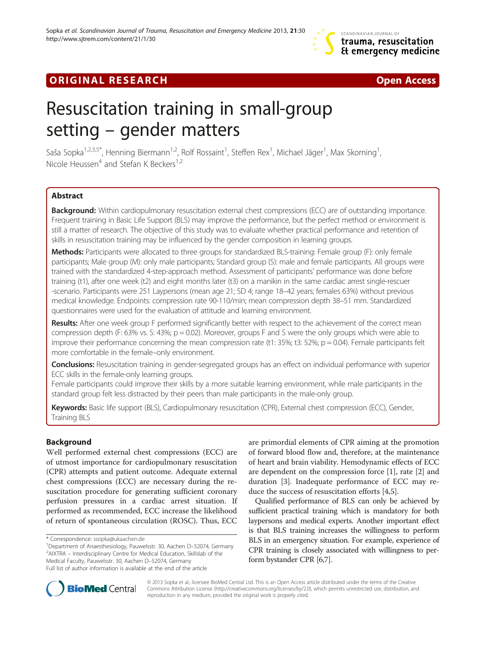## **ORIGINAL RESEARCH CONFIDENTIAL CONSUMING A LIGHT CONFIDENTIAL CONFIDENTIAL CONFIDENTIAL CONFIDENTIAL CONFIDENT**

# Resuscitation training in small-group setting – gender matters

Saša Sopka $^{1,2,3,5^*}$ , Henning Biermann $^{1,2}$ , Rolf Rossaint $^1$ , Steffen Rex $^1$ , Michael Jäger $^1$ , Max Skorning $^1$ , Nicole Heussen<sup>4</sup> and Stefan K Beckers<sup>1,2</sup>

## Abstract

Background: Within cardiopulmonary resuscitation external chest compressions (ECC) are of outstanding importance. Frequent training in Basic Life Support (BLS) may improve the performance, but the perfect method or environment is still a matter of research. The objective of this study was to evaluate whether practical performance and retention of skills in resuscitation training may be influenced by the gender composition in learning groups.

Methods: Participants were allocated to three groups for standardized BLS-training: Female group (F): only female participants; Male group (M): only male participants; Standard group (S): male and female participants. All groups were trained with the standardized 4-step-approach method. Assessment of participants' performance was done before training (t1), after one week (t2) and eight months later (t3) on a manikin in the same cardiac arrest single-rescuer -scenario. Participants were 251 Laypersons (mean age 21; SD 4; range 18–42 years; females 63%) without previous medical knowledge. Endpoints: compression rate 90-110/min; mean compression depth 38–51 mm. Standardized questionnaires were used for the evaluation of attitude and learning environment.

Results: After one week group F performed significantly better with respect to the achievement of the correct mean compression depth (F: 63% vs. S: 43%; p = 0.02). Moreover, groups F and S were the only groups which were able to improve their performance concerning the mean compression rate (t1: 35%; t3: 52%;  $p = 0.04$ ). Female participants felt more comfortable in the female–only environment.

**Conclusions:** Resuscitation training in gender-segregated groups has an effect on individual performance with superior ECC skills in the female-only learning groups.

Female participants could improve their skills by a more suitable learning environment, while male participants in the standard group felt less distracted by their peers than male participants in the male-only group.

Keywords: Basic life support (BLS), Cardiopulmonary resuscitation (CPR), External chest compression (ECC), Gender, Training BLS

## **Background**

Well performed external chest compressions (ECC) are of utmost importance for cardiopulmonary resuscitation (CPR) attempts and patient outcome. Adequate external chest compressions (ECC) are necessary during the resuscitation procedure for generating sufficient coronary perfusion pressures in a cardiac arrest situation. If performed as recommended, ECC increase the likelihood of return of spontaneous circulation (ROSC). Thus, ECC

<sup>1</sup>Department of Anaesthesiology, Pauwelsstr. 30, Aachen D-52074, Germany  $2$ AIXTRA – Interdisciplinary Centre for Medical Education, Skillslab of the Medical Faculty, Pauwelsstr. 30, Aachen D–52074, Germany Full list of author information is available at the end of the article

are primordial elements of CPR aiming at the promotion of forward blood flow and, therefore, at the maintenance of heart and brain viability. Hemodynamic effects of ECC are dependent on the compression force [\[1](#page-8-0)], rate [\[2](#page-8-0)] and duration [[3](#page-8-0)]. Inadequate performance of ECC may reduce the success of resuscitation efforts [[4](#page-8-0),[5](#page-8-0)].

Qualified performance of BLS can only be achieved by sufficient practical training which is mandatory for both laypersons and medical experts. Another important effect is that BLS training increases the willingness to perform BLS in an emergency situation. For example, experience of CPR training is closely associated with willingness to perform bystander CPR [\[6,7](#page-8-0)].



© 2013 Sopka et al.; licensee BioMed Central Ltd. This is an Open Access article distributed under the terms of the Creative Commons Attribution License [\(http://creativecommons.org/licenses/by/2.0\)](http://creativecommons.org/licenses/by/2.0), which permits unrestricted use, distribution, and reproduction in any medium, provided the original work is properly cited.

<sup>\*</sup> Correspondence: [ssopka@ukaachen.de](mailto:ssopka@ukaachen.de) <sup>1</sup>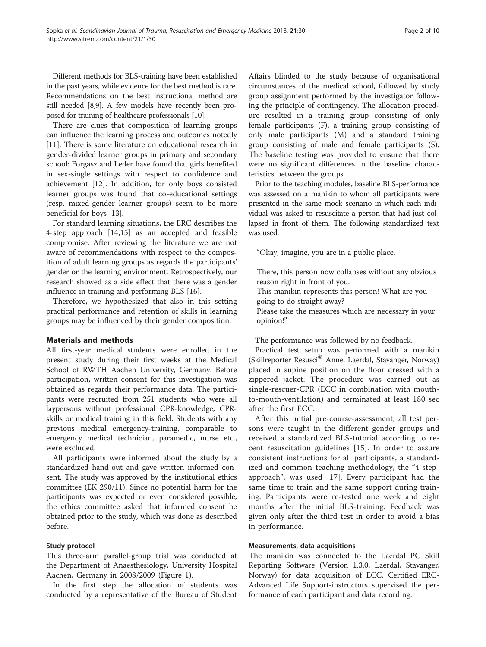Different methods for BLS-training have been established in the past years, while evidence for the best method is rare. Recommendations on the best instructional method are still needed [\[8,9\]](#page-8-0). A few models have recently been proposed for training of healthcare professionals [[10](#page-8-0)].

There are clues that composition of learning groups can influence the learning process and outcomes notedly [[11\]](#page-8-0). There is some literature on educational research in gender-divided learner groups in primary and secondary school: Forgasz and Leder have found that girls benefited in sex-single settings with respect to confidence and achievement [[12\]](#page-8-0). In addition, for only boys consisted learner groups was found that co-educational settings (resp. mixed-gender learner groups) seem to be more beneficial for boys [[13](#page-8-0)].

For standard learning situations, the ERC describes the 4-step approach [\[14,15](#page-8-0)] as an accepted and feasible compromise. After reviewing the literature we are not aware of recommendations with respect to the composition of adult learning groups as regards the participants' gender or the learning environment. Retrospectively, our research showed as a side effect that there was a gender influence in training and performing BLS [\[16\]](#page-8-0).

Therefore, we hypothesized that also in this setting practical performance and retention of skills in learning groups may be influenced by their gender composition.

## Materials and methods

All first-year medical students were enrolled in the present study during their first weeks at the Medical School of RWTH Aachen University, Germany. Before participation, written consent for this investigation was obtained as regards their performance data. The participants were recruited from 251 students who were all laypersons without professional CPR-knowledge, CPRskills or medical training in this field. Students with any previous medical emergency-training, comparable to emergency medical technician, paramedic, nurse etc., were excluded.

All participants were informed about the study by a standardized hand-out and gave written informed consent. The study was approved by the institutional ethics committee (EK 290/11). Since no potential harm for the participants was expected or even considered possible, the ethics committee asked that informed consent be obtained prior to the study, which was done as described before.

## Study protocol

This three-arm parallel-group trial was conducted at the Department of Anaesthesiology, University Hospital Aachen, Germany in 2008/2009 (Figure [1\)](#page-2-0).

In the first step the allocation of students was conducted by a representative of the Bureau of Student Affairs blinded to the study because of organisational circumstances of the medical school, followed by study group assignment performed by the investigator following the principle of contingency. The allocation procedure resulted in a training group consisting of only female participants (F), a training group consisting of only male participants (M) and a standard training group consisting of male and female participants (S). The baseline testing was provided to ensure that there were no significant differences in the baseline characteristics between the groups.

Prior to the teaching modules, baseline BLS-performance was assessed on a manikin to whom all participants were presented in the same mock scenario in which each individual was asked to resuscitate a person that had just collapsed in front of them. The following standardized text was used:

"Okay, imagine, you are in a public place.

There, this person now collapses without any obvious reason right in front of you.

This manikin represents this person! What are you going to do straight away?

Please take the measures which are necessary in your opinion!"

The performance was followed by no feedback.

Practical test setup was performed with a manikin (Skillreporter Resusci<sup>®</sup> Anne, Laerdal, Stavanger, Norway) placed in supine position on the floor dressed with a zippered jacket. The procedure was carried out as single-rescuer-CPR (ECC in combination with mouthto-mouth-ventilation) and terminated at least 180 sec after the first ECC.

After this initial pre-course-assessment, all test persons were taught in the different gender groups and received a standardized BLS-tutorial according to recent resuscitation guidelines [[15\]](#page-8-0). In order to assure consistent instructions for all participants, a standardized and common teaching methodology, the "4-stepapproach", was used [[17](#page-8-0)]. Every participant had the same time to train and the same support during training. Participants were re-tested one week and eight months after the initial BLS-training. Feedback was given only after the third test in order to avoid a bias in performance.

## Measurements, data acquisitions

The manikin was connected to the Laerdal PC Skill Reporting Software (Version 1.3.0, Laerdal, Stavanger, Norway) for data acquisition of ECC. Certified ERC-Advanced Life Support-instructors supervised the performance of each participant and data recording.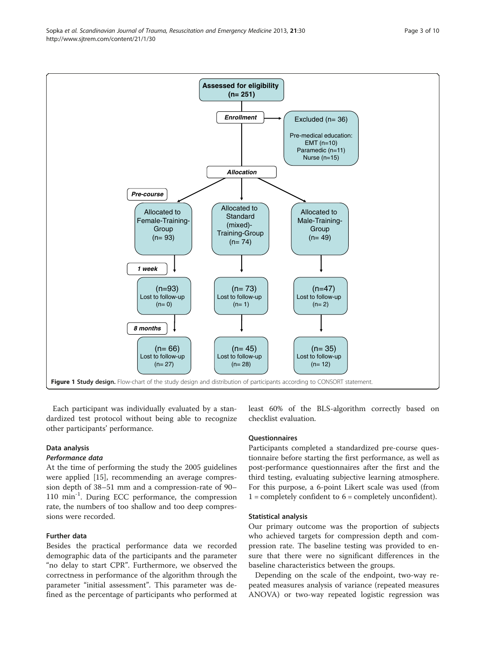Each participant was individually evaluated by a standardized test protocol without being able to recognize other participants' performance.

## Data analysis

## Performance data

At the time of performing the study the 2005 guidelines were applied [\[15](#page-8-0)], recommending an average compression depth of 38–51 mm and a compression-rate of 90– 110 min<sup>-1</sup>. During ECC performance, the compression rate, the numbers of too shallow and too deep compressions were recorded.

## Further data

Besides the practical performance data we recorded demographic data of the participants and the parameter "no delay to start CPR". Furthermore, we observed the correctness in performance of the algorithm through the parameter "initial assessment". This parameter was defined as the percentage of participants who performed at least 60% of the BLS-algorithm correctly based on checklist evaluation.

## **Ouestionnaires**

Participants completed a standardized pre-course questionnaire before starting the first performance, as well as post-performance questionnaires after the first and the third testing, evaluating subjective learning atmosphere. For this purpose, a 6-point Likert scale was used (from  $1 =$  completely confident to  $6 =$  completely unconfident).

## Statistical analysis

Our primary outcome was the proportion of subjects who achieved targets for compression depth and compression rate. The baseline testing was provided to ensure that there were no significant differences in the baseline characteristics between the groups.

Depending on the scale of the endpoint, two-way repeated measures analysis of variance (repeated measures ANOVA) or two-way repeated logistic regression was

<span id="page-2-0"></span>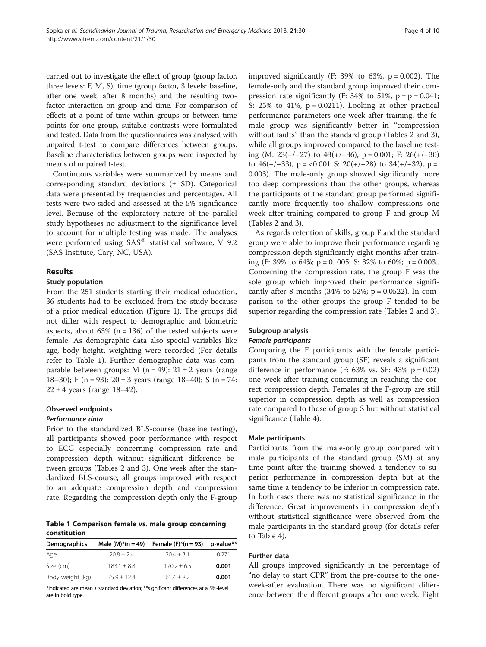carried out to investigate the effect of group (group factor, three levels: F, M, S), time (group factor, 3 levels: baseline, after one week, after 8 months) and the resulting twofactor interaction on group and time. For comparison of effects at a point of time within groups or between time points for one group, suitable contrasts were formulated and tested. Data from the questionnaires was analysed with unpaired t-test to compare differences between groups. Baseline characteristics between groups were inspected by means of unpaired t-test.

Continuous variables were summarized by means and corresponding standard deviations (± SD). Categorical data were presented by frequencies and percentages. All tests were two-sided and assessed at the 5% significance level. Because of the exploratory nature of the parallel study hypotheses no adjustment to the significance level to account for multiple testing was made. The analyses were performed using  $SAS^{\circledast}$  statistical software, V 9.2 (SAS Institute, Cary, NC, USA).

## Results

## Study population

From the 251 students starting their medical education, 36 students had to be excluded from the study because of a prior medical education (Figure [1](#page-2-0)). The groups did not differ with respect to demographic and biometric aspects, about  $63\%$  (n = 136) of the tested subjects were female. As demographic data also special variables like age, body height, weighting were recorded (For details refer to Table 1). Further demographic data was comparable between groups: M  $(n = 49)$ : 21  $\pm$  2 years (range 18–30); F (n = 93):  $20 \pm 3$  years (range 18–40); S (n = 74:  $22 \pm 4$  years (range 18–42).

## Observed endpoints

## Performance data

Prior to the standardized BLS-course (baseline testing), all participants showed poor performance with respect to ECC especially concerning compression rate and compression depth without significant difference between groups (Tables [2](#page-4-0) and [3](#page-5-0)). One week after the standardized BLS-course, all groups improved with respect to an adequate compression depth and compression rate. Regarding the compression depth only the F-group

Table 1 Comparison female vs. male group concerning constitution

| <b>Demographics</b> | Male $(M)*(n = 49)$ | Female $(F)^*(n = 93)$ | p-value** |
|---------------------|---------------------|------------------------|-----------|
| Age                 | $70.8 + 2.4$        | $20.4 + 3.1$           | 0.271     |
| Size (cm)           | $183.1 + 8.8$       | $170.2 + 6.5$          | 0.001     |
| Body weight (kg)    | $75.9 + 12.4$       | $61.4 + 8.2$           | 0.001     |

\*indicated are mean ± standard deviation; \*\*significant differences at a 5%-level are in bold type.

improved significantly (F: 39% to 63%,  $p = 0.002$ ). The female-only and the standard group improved their compression rate significantly (F: 34% to 51%,  $p = p = 0.041$ ; S:  $25\%$  to  $41\%$ ,  $p = 0.0211$ ). Looking at other practical performance parameters one week after training, the female group was significantly better in "compression without faults" than the standard group (Tables [2](#page-4-0) and [3](#page-5-0)), while all groups improved compared to the baseline testing (M: 23(+/−27) to 43(+/−36), p = 0.001; F: 26(+/−30) to 46(+/-33), p = <0.001 S: 20(+/-28) to 34(+/-32), p = 0.003). The male-only group showed significantly more too deep compressions than the other groups, whereas the participants of the standard group performed significantly more frequently too shallow compressions one week after training compared to group F and group M (Tables [2](#page-4-0) and [3\)](#page-5-0).

As regards retention of skills, group F and the standard group were able to improve their performance regarding compression depth significantly eight months after training (F: 39% to 64%;  $p = 0$ . 005; S: 32% to 60%;  $p = 0.003$ .. Concerning the compression rate, the group F was the sole group which improved their performance significantly after 8 months (34% to 52%;  $p = 0.0522$ ). In comparison to the other groups the group F tended to be superior regarding the compression rate (Tables [2](#page-4-0) and [3\)](#page-5-0).

## Subgroup analysis

## Female participants

Comparing the F participants with the female participants from the standard group (SF) reveals a significant difference in performance (F:  $63\%$  vs. SF:  $43\%$  p = 0.02) one week after training concerning in reaching the correct compression depth. Females of the F-group are still superior in compression depth as well as compression rate compared to those of group S but without statistical significance (Table [4](#page-6-0)).

## Male participants

Participants from the male-only group compared with male participants of the standard group (SM) at any time point after the training showed a tendency to superior performance in compression depth but at the same time a tendency to be inferior in compression rate. In both cases there was no statistical significance in the difference. Great improvements in compression depth without statistical significance were observed from the male participants in the standard group (for details refer to Table [4\)](#page-6-0).

## Further data

All groups improved significantly in the percentage of "no delay to start CPR" from the pre-course to the oneweek-after evaluation. There was no significant difference between the different groups after one week. Eight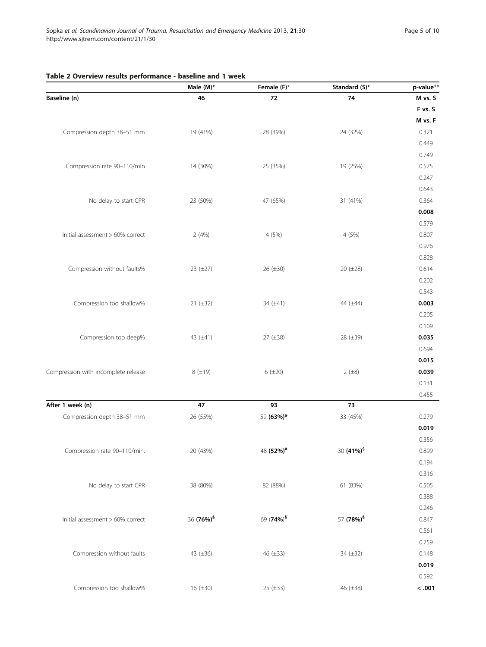## <span id="page-4-0"></span>Table 2 Overview results performance - baseline and 1 week

|                                     | Male (M)*             | Female (F)*           | Standard (S)*          | p-value** |
|-------------------------------------|-----------------------|-----------------------|------------------------|-----------|
| Baseline (n)                        | 46                    | $72\,$                | ${\bf 74}$             | M vs. S   |
|                                     |                       |                       |                        | F vs. S   |
|                                     |                       |                       |                        | M vs. F   |
| Compression depth 38-51 mm          | 19 (41%)              | 28 (39%)              | 24 (32%)               | 0.321     |
|                                     |                       |                       |                        | 0.449     |
|                                     |                       |                       |                        | 0.749     |
| Compression rate 90-110/min         | 14 (30%)              | 25 (35%)              | 19 (25%)               | 0.575     |
|                                     |                       |                       |                        | 0.247     |
|                                     |                       |                       |                        | 0.643     |
| No delay to start CPR               | 23 (50%)              | 47 (65%)              | 31 (41%)               | 0.364     |
|                                     |                       |                       |                        | 0.008     |
|                                     |                       |                       |                        | 0.579     |
| Initial assessment > 60% correct    | 2(4%)                 | 4 (5%)                | 4 (5%)                 | 0.807     |
|                                     |                       |                       |                        | 0.976     |
|                                     |                       |                       |                        | 0.828     |
| Compression without faults%         | 23 $(\pm 27)$         | 26 (±30)              | 20 (±28)               | 0.614     |
|                                     |                       |                       |                        | 0.202     |
|                                     |                       |                       |                        | 0.543     |
| Compression too shallow%            | $21 (\pm 32)$         | 34 (±41)              | 44 (±44)               | 0.003     |
|                                     |                       |                       |                        | 0.205     |
|                                     |                       |                       |                        | 0.109     |
| Compression too deep%               | 43 (±41)              | 27 (±38)              | 28 (±39)               | 0.035     |
|                                     |                       |                       |                        | 0.694     |
|                                     |                       |                       |                        | 0.015     |
| Compression with incomplete release | $8(+19)$              | $6 (+20)$             | 2 (±8)                 | 0.039     |
|                                     |                       |                       |                        | 0.131     |
|                                     |                       |                       |                        | 0.455     |
| After 1 week (n)                    | 47                    | 93                    | 73                     |           |
| Compression depth 38-51 mm          | 26 (55%)              | 59 (63%)*             | 33 (45%)               | 0.279     |
|                                     |                       |                       |                        | 0.019     |
|                                     |                       |                       |                        | 0.356     |
| Compression rate 90-110/min.        | 20 (43%)              | 48 (52%) <sup>#</sup> | 30 (41%) <sup>\$</sup> | 0.899     |
|                                     |                       |                       |                        | 0.194     |
|                                     |                       |                       |                        | 0.316     |
| No delay to start CPR               | 38 (80%)              | 82 (88%)              | 61 (83%)               | 0.505     |
|                                     |                       |                       |                        | 0.388     |
|                                     |                       |                       |                        | 0.246     |
| Initial assessment > 60% correct    | 36 (76%) <sup>§</sup> | 69 (74%) <sup>§</sup> | 57 (78%) <sup>§</sup>  | 0.847     |
|                                     |                       |                       |                        | 0.561     |
|                                     |                       |                       |                        | 0.759     |
| Compression without faults          | 43 $(\pm 36)$         | 46 (±33)              | 34 (±32)               | 0.148     |
|                                     |                       |                       |                        | 0.019     |
|                                     |                       |                       |                        | 0.592     |
| Compression too shallow%            | 16 (±30)              | 25 (±33)              | 46 (±38)               | $< .001$  |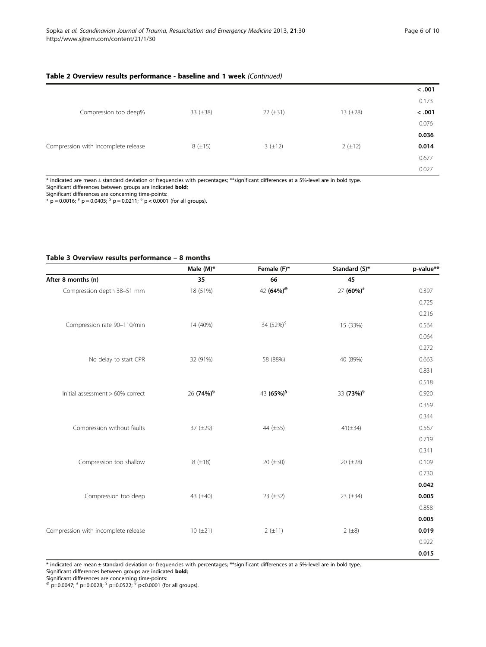## <span id="page-5-0"></span>Table 2 Overview results performance - baseline and 1 week (Continued)

|                                     |               |               |               | < .001 |
|-------------------------------------|---------------|---------------|---------------|--------|
|                                     |               |               |               | 0.173  |
| Compression too deep%               | 33 $(\pm 38)$ | $22 (\pm 31)$ | 13 $(\pm 28)$ | < .001 |
|                                     |               |               |               | 0.076  |
|                                     |               |               |               | 0.036  |
| Compression with incomplete release | $8(\pm 15)$   | $3(\pm 12)$   | $2 (+12)$     | 0.014  |
|                                     |               |               |               | 0.677  |
|                                     |               |               |               | 0.027  |

\* indicated are mean ± standard deviation or frequencies with percentages; \*\*significant differences at a 5%-level are in bold type.

Significant differences between groups are indicated bold;

Significant differences are concerning time-points:<br>\* p = 0.0016; <sup>#</sup> p = 0.0405; <sup>S</sup> p = 0.0211; <sup>§</sup> p < 0.0001 (for all groups).

## Table 3 Overview results performance – 8 months

|                                     | Male $(M)^*$          | Female (F)*            | Standard (S)*         | p-value** |
|-------------------------------------|-----------------------|------------------------|-----------------------|-----------|
| After 8 months (n)                  | 35                    | 66                     | 45                    |           |
| Compression depth 38-51 mm          | 18 (51%)              | 42 (64%) <sup>@</sup>  | 27 (60%) <sup>#</sup> | 0.397     |
|                                     |                       |                        |                       | 0.725     |
|                                     |                       |                        |                       | 0.216     |
| Compression rate 90-110/min         | 14 (40%)              | 34 (52%) <sup>\$</sup> | 15 (33%)              | 0.564     |
|                                     |                       |                        |                       | 0.064     |
|                                     |                       |                        |                       | 0.272     |
| No delay to start CPR               | 32 (91%)              | 58 (88%)               | 40 (89%)              | 0.663     |
|                                     |                       |                        |                       | 0.831     |
|                                     |                       |                        |                       | 0.518     |
| Initial assessment > 60% correct    | 26 (74%) <sup>§</sup> | 43 (65%) <sup>§</sup>  | 33 (73%) <sup>§</sup> | 0.920     |
|                                     |                       |                        |                       | 0.359     |
|                                     |                       |                        |                       | 0.344     |
| Compression without faults          | 37 $(\pm 29)$         | 44 (±35)               | $41(\pm 34)$          | 0.567     |
|                                     |                       |                        |                       | 0.719     |
|                                     |                       |                        |                       | 0.341     |
| Compression too shallow             | $8(+18)$              | 20 $(\pm 30)$          | 20 $(\pm 28)$         | 0.109     |
|                                     |                       |                        |                       | 0.730     |
|                                     |                       |                        |                       | 0.042     |
| Compression too deep                | 43 (±40)              | 23 $(\pm 32)$          | 23 $(\pm 34)$         | 0.005     |
|                                     |                       |                        |                       | 0.858     |
|                                     |                       |                        |                       | 0.005     |
| Compression with incomplete release | $10 (+21)$            | 2 (±11)                | 2 (±8)                | 0.019     |
|                                     |                       |                        |                       | 0.922     |
|                                     |                       |                        |                       | 0.015     |

\* indicated are mean ± standard deviation or frequencies with percentages; \*\*significant differences at a 5%-level are in bold type. Significant differences between groups are indicated bold;

Significant differences are concerning time-points: @ p=0.0047; # p=0.0028; \$ p=0.0522; § p<0.0001 (for all groups).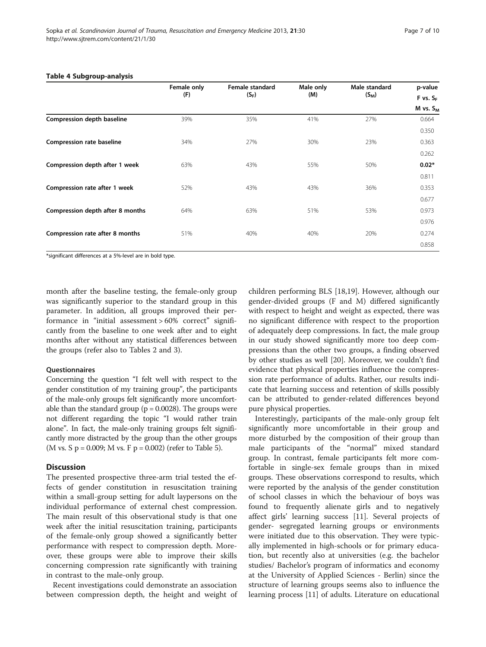|                                  | Female only<br>(F) | Female standard<br>$(S_F)$ | Male only<br>(M) | Male standard<br>$(S_M)$ | p-value<br>F vs. S <sub>F</sub> |
|----------------------------------|--------------------|----------------------------|------------------|--------------------------|---------------------------------|
|                                  |                    |                            |                  |                          |                                 |
|                                  |                    |                            |                  |                          | $M$ vs. $S_M$                   |
| Compression depth baseline       | 39%                | 35%                        | 41%              | 27%                      | 0.664                           |
|                                  |                    |                            |                  |                          | 0.350                           |
| <b>Compression rate baseline</b> | 34%                | 27%                        | 30%              | 23%                      | 0.363                           |
|                                  |                    |                            |                  |                          | 0.262                           |
| Compression depth after 1 week   | 63%                | 43%                        | 55%              | 50%                      | $0.02*$                         |
|                                  |                    |                            |                  |                          | 0.811                           |
| Compression rate after 1 week    | 52%                | 43%                        | 43%              | 36%                      | 0.353                           |
|                                  |                    |                            |                  |                          | 0.677                           |
| Compression depth after 8 months | 64%                | 63%                        | 51%              | 53%                      | 0.973                           |
|                                  |                    |                            |                  |                          | 0.976                           |
| Compression rate after 8 months  | 51%                | 40%                        | 40%              | 20%                      | 0.274                           |
|                                  |                    |                            |                  |                          | 0.858                           |

### <span id="page-6-0"></span>Table 4 Subgroup-analysis

\*significant differences at a 5%-level are in bold type.

month after the baseline testing, the female-only group was significantly superior to the standard group in this parameter. In addition, all groups improved their performance in "initial assessment > 60% correct" significantly from the baseline to one week after and to eight months after without any statistical differences between the groups (refer also to Tables [2](#page-4-0) and [3\)](#page-5-0).

## **Ouestionnaires**

Concerning the question "I felt well with respect to the gender constitution of my training group", the participants of the male-only groups felt significantly more uncomfortable than the standard group ( $p = 0.0028$ ). The groups were not different regarding the topic "I would rather train alone". In fact, the male-only training groups felt significantly more distracted by the group than the other groups (M vs. S  $p = 0.009$ ; M vs. F  $p = 0.002$ ) (refer to Table [5\)](#page-7-0).

## **Discussion**

The presented prospective three-arm trial tested the effects of gender constitution in resuscitation training within a small-group setting for adult laypersons on the individual performance of external chest compression. The main result of this observational study is that one week after the initial resuscitation training, participants of the female-only group showed a significantly better performance with respect to compression depth. Moreover, these groups were able to improve their skills concerning compression rate significantly with training in contrast to the male-only group.

Recent investigations could demonstrate an association between compression depth, the height and weight of children performing BLS [[18](#page-8-0),[19](#page-9-0)]. However, although our gender-divided groups (F and M) differed significantly with respect to height and weight as expected, there was no significant difference with respect to the proportion of adequately deep compressions. In fact, the male group in our study showed significantly more too deep compressions than the other two groups, a finding observed by other studies as well [\[20](#page-9-0)]. Moreover, we couldn't find evidence that physical properties influence the compression rate performance of adults. Rather, our results indicate that learning success and retention of skills possibly can be attributed to gender-related differences beyond pure physical properties.

Interestingly, participants of the male-only group felt significantly more uncomfortable in their group and more disturbed by the composition of their group than male participants of the "normal" mixed standard group. In contrast, female participants felt more comfortable in single-sex female groups than in mixed groups. These observations correspond to results, which were reported by the analysis of the gender constitution of school classes in which the behaviour of boys was found to frequently alienate girls and to negatively affect girls' learning success [\[11\]](#page-8-0). Several projects of gender- segregated learning groups or environments were initiated due to this observation. They were typically implemented in high-schools or for primary education, but recently also at universities (e.g. the bachelor studies/ Bachelor's program of informatics and economy at the University of Applied Sciences - Berlin) since the structure of learning groups seems also to influence the learning process [[11](#page-8-0)] of adults. Literature on educational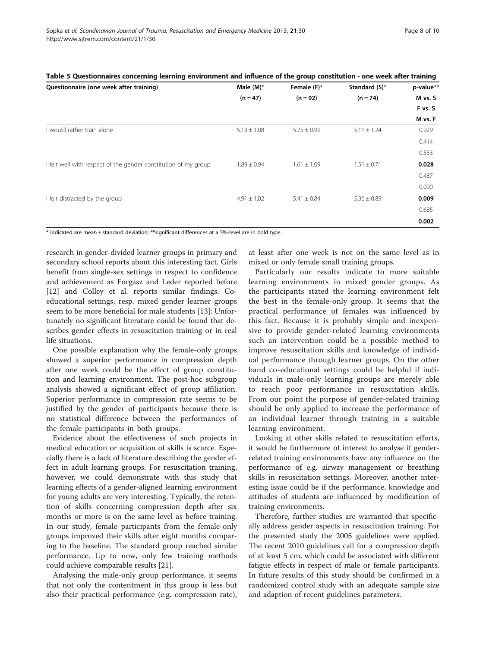| Questionnaire (one week after training)                         | Male $(M)^*$    | Female (F)*     | Standard (S)*   | p-value** |
|-----------------------------------------------------------------|-----------------|-----------------|-----------------|-----------|
|                                                                 | $(n = 47)$      | $(n = 92)$      | $(n = 74)$      | M vs. S   |
|                                                                 |                 |                 |                 | F vs. S   |
|                                                                 |                 |                 |                 | M vs. F   |
| I would rather train alone                                      | $5.13 \pm 1.08$ | $5.25 \pm 0.99$ | $5.11 \pm 1.24$ | 0.929     |
|                                                                 |                 |                 |                 | 0.414     |
|                                                                 |                 |                 |                 | 0.533     |
| I felt well with respect of the gender constitution of my group | $1.89 \pm 0.94$ | $1.61 \pm 1.09$ | $1.51 \pm 0.71$ | 0.028     |
|                                                                 |                 |                 |                 | 0.487     |
|                                                                 |                 |                 |                 | 0.090     |
| I felt distracted by the group                                  | $4.91 \pm 1.02$ | $5.41 \pm 0.84$ | $5.36 \pm 0.89$ | 0.009     |
|                                                                 |                 |                 |                 | 0.685     |
|                                                                 |                 |                 |                 | 0.002     |

<span id="page-7-0"></span>Table 5 Questionnaires concerning learning environment and influence of the group constitution - one week after training

\* indicated are mean ± standard deviation; \*\*significant differences at a 5%-level are in bold type.

research in gender-divided learner groups in primary and secondary school reports about this interesting fact. Girls benefit from single-sex settings in respect to confidence and achievement as Forgasz and Leder reported before [[12\]](#page-8-0) and Colley et al. reports similar findings. Coeducational settings, resp. mixed gender learner groups seem to be more beneficial for male students [\[13\]](#page-8-0): Unfortunately no significant literature could be found that describes gender effects in resuscitation training or in real life situations.

One possible explanation why the female-only groups showed a superior performance in compression depth after one week could be the effect of group constitution and learning environment. The post-hoc subgroup analysis showed a significant effect of group affiliation. Superior performance in compression rate seems to be justified by the gender of participants because there is no statistical difference between the performances of the female participants in both groups.

Evidence about the effectiveness of such projects in medical education or acquisition of skills is scarce. Especially there is a lack of literature describing the gender effect in adult learning groups. For resuscitation training, however, we could demonstrate with this study that learning effects of a gender-aligned learning environment for young adults are very interesting. Typically, the retention of skills concerning compression depth after six months or more is on the same level as before training. In our study, female participants from the female-only groups improved their skills after eight months comparing to the baseline. The standard group reached similar performance. Up to now, only few training methods could achieve comparable results [\[21](#page-9-0)].

Analysing the male-only group performance, it seems that not only the contentment in this group is less but also their practical performance (e.g. compression rate),

at least after one week is not on the same level as in mixed or only female small training groups.

Particularly our results indicate to more suitable learning environments in mixed gender groups. As the participants stated the learning environment felt the best in the female-only group. It seems that the practical performance of females was influenced by this fact. Because it is probably simple and inexpensive to provide gender-related learning environments such an intervention could be a possible method to improve resuscitation skills and knowledge of individual performance through learner groups. On the other hand co-educational settings could be helpful if individuals in male-only learning groups are merely able to reach poor performance in resuscitation skills. From our point the purpose of gender-related training should be only applied to increase the performance of an individual learner through training in a suitable learning environment.

Looking at other skills related to resuscitation efforts, it would be furthermore of interest to analyse if genderrelated training environments have any influence on the performance of e.g. airway management or breathing skills in resuscitation settings. Moreover, another interesting issue could be if the performance, knowledge and attitudes of students are influenced by modification of training environments.

Therefore, further studies are warranted that specifically address gender aspects in resuscitation training. For the presented study the 2005 guidelines were applied. The recent 2010 guidelines call for a compression depth of at least 5 cm, which could be associated with different fatigue effects in respect of male or female participants. In future results of this study should be confirmed in a randomized control study with an adequate sample size and adaption of recent guidelines parameters.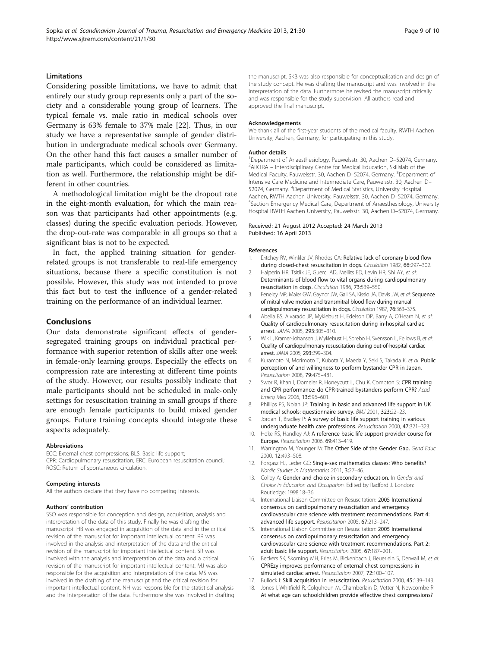## <span id="page-8-0"></span>**Limitations**

Considering possible limitations, we have to admit that entirely our study group represents only a part of the society and a considerable young group of learners. The typical female vs. male ratio in medical schools over Germany is 63% female to 37% male [[22](#page-9-0)]. Thus, in our study we have a representative sample of gender distribution in undergraduate medical schools over Germany. On the other hand this fact causes a smaller number of male participants, which could be considered as limitation as well. Furthermore, the relationship might be different in other countries.

A methodological limitation might be the dropout rate in the eight-month evaluation, for which the main reason was that participants had other appointments (e.g. classes) during the specific evaluation periods. However, the drop-out-rate was comparable in all groups so that a significant bias is not to be expected.

In fact, the applied training situation for genderrelated groups is not transferable to real-life emergency situations, because there a specific constitution is not possible. However, this study was not intended to prove this fact but to test the influence of a gender-related training on the performance of an individual learner.

## Conclusions

Our data demonstrate significant effects of gendersegregated training groups on individual practical performance with superior retention of skills after one week in female-only learning groups. Especially the effects on compression rate are interesting at different time points of the study. However, our results possibly indicate that male participants should not be scheduled in male-only settings for resuscitation training in small groups if there are enough female participants to build mixed gender groups. Future training concepts should integrate these aspects adequately.

## Abbreviations

ECC: External chest compressions; BLS: Basic life support; CPR: Cardiopulmonary resuscitation; ERC: European resuscitation council; ROSC: Return of spontaneous circulation.

## Competing interests

All the authors declare that they have no competing interests.

#### Authors' contribution

SSO was responsible for conception and design, acquisition, analysis and interpretation of the data of this study. Finally he was drafting the manuscript. HB was engaged in acquisition of the data and in the critical revision of the manuscript for important intellectual content. RR was involved in the analysis and interpretation of the data and the critical revision of the manuscript for important intellectual content. SR was involved with the analysis and interpretation of the data and a critical revision of the manuscript for important intellectual content. MJ was also responsible for the acquisition and interpretation of the data. MS was involved in the drafting of the manuscript and the critical revision for important intellectual content. NH was responsible for the statistical analysis and the interpretation of the data. Furthermore she was involved in drafting

the manuscript. SKB was also responsible for conceptualisation and design of the study concept. He was drafting the manuscript and was involved in the interpretation of the data. Furthermore he revised the manuscript critically and was responsible for the study supervision. All authors read and approved the final manuscript.

#### Acknowledgements

We thank all of the first-year students of the medical faculty, RWTH Aachen University, Aachen, Germany, for participating in this study.

#### Author details

<sup>1</sup> Department of Anaesthesiology, Pauwelsstr. 30, Aachen D–52074, Germany.<br><sup>2</sup> AIVTRA – Interdisciplinary Centre for Medical Education. Skillslab of the  $2$ AIXTRA – Interdisciplinary Centre for Medical Education, Skillslab of the Medical Faculty, Pauwelsstr. 30, Aachen D-52074, Germany. <sup>3</sup>Department of Intensive Care Medicine and Intermediate Care, Pauwelsstr. 30, Aachen D– 52074, Germany. <sup>4</sup>Department of Medical Statistics, University Hospital Aachen, RWTH Aachen University, Pauwelsstr. 30, Aachen D–52074, Germany. <sup>5</sup> <sup>5</sup> Section Emergency Medical Care, Department of Anaesthesiology, University Hospital RWTH Aachen University, Pauwelsstr. 30, Aachen D–52074, Germany.

#### Received: 21 August 2012 Accepted: 24 March 2013 Published: 16 April 2013

#### References

- Ditchey RV, Winkler JV, Rhodes CA: Relative lack of coronary blood flow during closed-chest resuscitation in dogs. Circulation 1982, 66:297–302.
- 2. Halperin HR, Tsitlik JF, Guerci AD, Mellits FD, Levin HR, Shi AY, et al: Determinants of blood flow to vital organs during cardiopulmonary resuscitation in dogs. Circulation 1986, 73:539–550.
- 3. Feneley MP, Maier GW, Gaynor JW, Gall SA, Kisslo JA, Davis JW, et al: Sequence of mitral valve motion and transmitral blood flow during manual cardiopulmonary resuscitation in dogs. Circulation 1987, 76:363–375.
- 4. Abella BS, Alvarado JP, Myklebust H, Edelson DP, Barry A, O'Hearn N, et al: Quality of cardiopulmonary resuscitation during in-hospital cardiac arrest. JAMA 2005, 293:305–310.
- 5. Wik L, Kramer-Johansen J, Myklebust H, Sorebo H, Svensson L, Fellows B, et al: Quality of cardiopulmonary resuscitation during out-of-hospital cardiac arrest. JAMA 2005, 293:299–304.
- 6. Kuramoto N, Morimoto T, Kubota Y, Maeda Y, Seki S, Takada K, et al: Public perception of and willingness to perform bystander CPR in Japan. Resuscitation 2008, 79:475–481.
- 7. Swor R, Khan I, Domeier R, Honeycutt L, Chu K, Compton S: CPR training and CPR performance: do CPR-trained bystanders perform CPR? Acad Emerg Med 2006, 13:596–601.
- 8. Phillips PS, Nolan JP: Training in basic and advanced life support in UK medical schools: questionnaire survey. BMJ 2001, 323:22–23.
- 9. Jordan T, Bradley P: A survey of basic life support training in various undergraduate health care professions. Resuscitation 2000, 47:321-323.
- 10. Hoke RS, Handley AJ: A reference basic life support provider course for Europe. Resuscitation 2006, 69:413–419.
- 11. Warrington M, Younger M: The Other Side of the Gender Gap. Gend Educ 2000, 12:493–508.
- 12. Forgasz HJ, Leder GC: Single-sex mathematics classes: Who benefits? Nordic Studies in Mathematics 2011, 3:27–46.
- 13. Colley A: Gender and choice in secondary education. In Gender and Choice in Education and Occupation. Edited by Radford J. London: Routledge; 1998:18–36.
- 14. International Liaison Committee on Resuscitation: 2005 International consensus on cardiopulmonary resuscitation and emergency cardiovascular care science with treatment recommendations. Part 4: advanced life support. Resuscitation 2005, 67:213–247.
- 15. International Liaison Committee on Resuscitation: 2005 International consensus on cardiopulmonary resuscitation and emergency cardiovascular care science with treatment recommendations. Part 2: adult basic life support. Resuscitation 2005, 67:187-201.
- 16. Beckers SK, Skorning MH, Fries M, Bickenbach J, Beuerlein S, Derwall M, et al: CPREzy improves performance of external chest compressions in simulated cardiac arrest. Resuscitation 2007, 72:100–107.
- 17. Bullock I: Skill acquisition in resuscitation. Resuscitation 2000, 45:139-143.
- 18. Jones I, Whitfield R, Colquhoun M, Chamberlain D, Vetter N, Newcombe R: At what age can schoolchildren provide effective chest compressions?